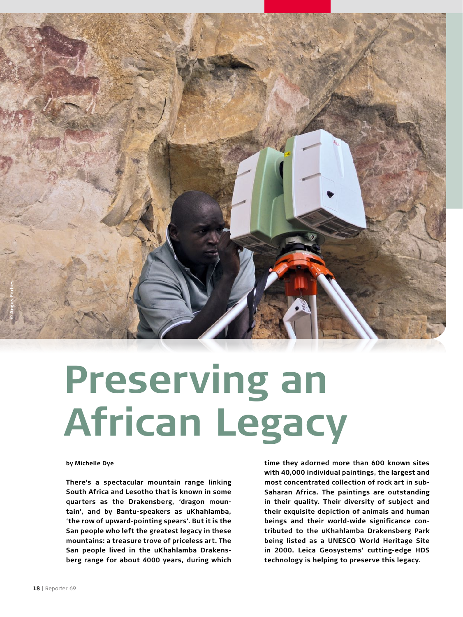

## **Preserving an African Legacy**

## **by Michelle Dye**

**There's a spectacular mountain range linking South Africa and Lesotho that is known in some quarters as the Drakensberg, 'dragon mountain', and by Bantu-speakers as uKhahlamba, 'the row of upward-pointing spears'. But it is the San people who left the greatest legacy in these mountains: a treasure trove of priceless art. The San people lived in the uKhahlamba Drakensberg range for about 4000 years, during which** 

**time they adorned more than 600 known sites with 40,000 individual paintings, the largest and most concentrated collection of rock art in sub-Saharan Africa. The paintings are outstanding in their quality. Their diversity of subject and their exquisite depiction of animals and human beings and their world-wide significance contributed to the uKhahlamba Drakensberg Park being listed as a UNESCO World Heritage Site in 2000. Leica Geosystems' cutting-edge HDS technology is helping to preserve this legacy.**